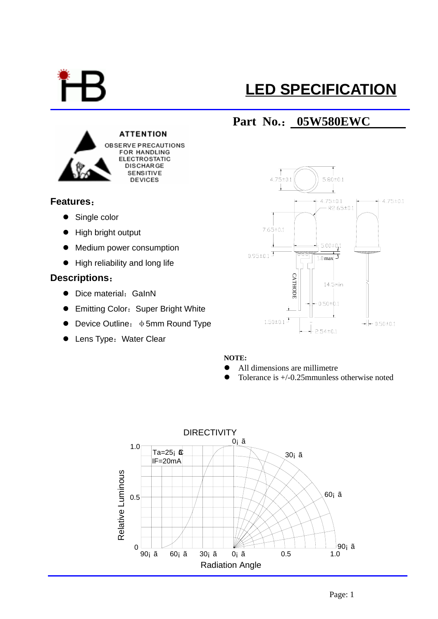

# **LED SPECIFICATION**

## **Part No.**: **05W580EWC**



### **Features**:

- $\bullet$  Single color
- $\bullet$  High bright output
- Medium power consumption
- $\bullet$  High reliability and long life

### **Descriptions**:

- Dice material: GalnN
- Emitting Color: Super Bright White
- Device Outline: φ5mm Round Type
- Lens Type: Water Clear



#### **NOTE:**

- All dimensions are millimetre
- Tolerance is  $+/-0.25$ mmunless otherwise noted

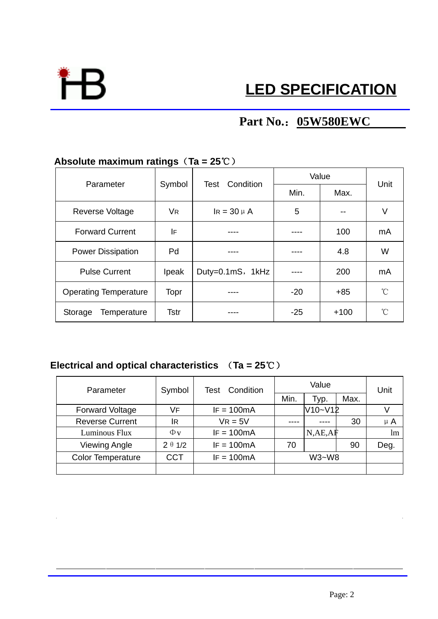

# **Part No.**:**05W580EWC**

## **Absolute maximum ratings**(**Ta = 25**℃)

| Parameter                     | Symbol       | <b>Test</b> Condition | Value |        | Unit         |
|-------------------------------|--------------|-----------------------|-------|--------|--------------|
|                               |              |                       | Min.  | Max.   |              |
| Reverse Voltage               | <b>VR</b>    | $IR = 30 \mu A$       | 5     |        | ٧            |
| <b>Forward Current</b>        | IF           |                       |       | 100    | mA           |
| <b>Power Dissipation</b>      | Pd           |                       |       | 4.8    | W            |
| <b>Pulse Current</b>          | <b>Ipeak</b> | Duty=0.1mS, 1kHz      |       | 200    | mA           |
| <b>Operating Temperature</b>  | Topr         |                       | $-20$ | $+85$  | $^{\circ}$ C |
| <b>Temperature</b><br>Storage | <b>Tstr</b>  |                       | $-25$ | $+100$ | °C           |

## **Electrical and optical characteristics** (**Ta = 25**℃)

| Parameter                | Symbol         | <b>Test Condition</b> | Value   |         |      | Unit    |
|--------------------------|----------------|-----------------------|---------|---------|------|---------|
|                          |                |                       | Min.    | Typ.    | Max. |         |
| <b>Forward Voltage</b>   | VF             | $IF = 100mA$          |         | V10~V12 |      |         |
| <b>Reverse Current</b>   | lr             | $VR = 5V$             |         |         | 30   | $\mu$ A |
| Luminous Flux            | $\Phi$ v       | $IF = 100mA$          |         | N,AE,AF |      | lm      |
| <b>Viewing Angle</b>     | $2 \theta 1/2$ | $IF = 100mA$          | 70      |         | 90   | Deg.    |
| <b>Color Temperature</b> | <b>CCT</b>     | $IF = 100mA$          | $W3-W8$ |         |      |         |
|                          |                |                       |         |         |      |         |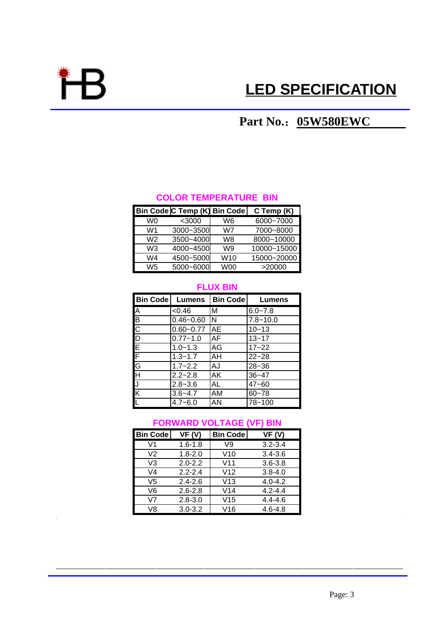

# **LED SPECIFICATION**

# **Part No.**:**05W580EWC**

#### **COLOR TEMPERATURE BIN**

|    | Bin Code C Temp (K) Bin Code |            | C Temp (K)  |
|----|------------------------------|------------|-------------|
| W۵ | $<$ 3000                     | W6         | 6000~7000   |
| W1 | 3000~3500                    | W7         | 7000~8000   |
| W2 | 3500~4000                    | W8         | 8000~10000  |
| WЗ | 4000~4500                    | W9         | 10000~15000 |
| W4 | 4500~5000                    | W10        | 15000~20000 |
| W5 | 5000~6000                    | <b>W00</b> | >20000      |

#### **FLUX BIN**

| <b>Bin Code</b> | Lumens        | <b>Bin Code</b> | Lumens       |
|-----------------|---------------|-----------------|--------------|
|                 | < 0.46        | М               | $6.0 - 7.8$  |
|                 | $0.46 - 0.60$ | ΙN              | $7.8 - 10.0$ |
|                 | $0.60 - 0.77$ | <b>AE</b>       | $10 - 13$    |
|                 | $0.77 - 1.0$  | AF              | $13 - 17$    |
|                 | $1.0 - 1.3$   | AG              | $17 - 22$    |
|                 | $1.3 - 1.7$   | AH              | $22 - 28$    |
| A B C D E F G H | $1.7 - 2.2$   | AJ              | $28 - 36$    |
|                 | $2.2 - 2.8$   | AK              | $36 - 47$    |
| J               | $2.8 - 3.6$   | AL              | $47 - 60$    |
| K               | $3.6 - 4.7$   | AM              | $60 - 78$    |
| L               | $4.7 - 6.0$   | ΑN              | 78~100       |

## **FORWARD VOLTAGE (VF) BIN**

| <b>Bin Code</b> | VF(V)       | <b>Bin Code</b> | VF(V)       |
|-----------------|-------------|-----------------|-------------|
| V1              | $1.6 - 1.8$ | V9              | $3.2 - 3.4$ |
| V2              | $1.8 - 2.0$ | V10             | $3.4 - 3.6$ |
| V3              | $2.0 - 2.2$ | V <sub>11</sub> | $3.6 - 3.8$ |
| V4              | $2.2 - 2.4$ | V12             | $3.8 - 4.0$ |
| V5              | $2.4 - 2.6$ | V13             | $4.0 - 4.2$ |
| V6              | $2.6 - 2.8$ | V <sub>14</sub> | $4.2 - 4.4$ |
| V7              | $2.8 - 3.0$ | V15             | $4.4 - 4.6$ |
| V8              | $3.0 - 3.2$ | V16             | $4.6 - 4.8$ |